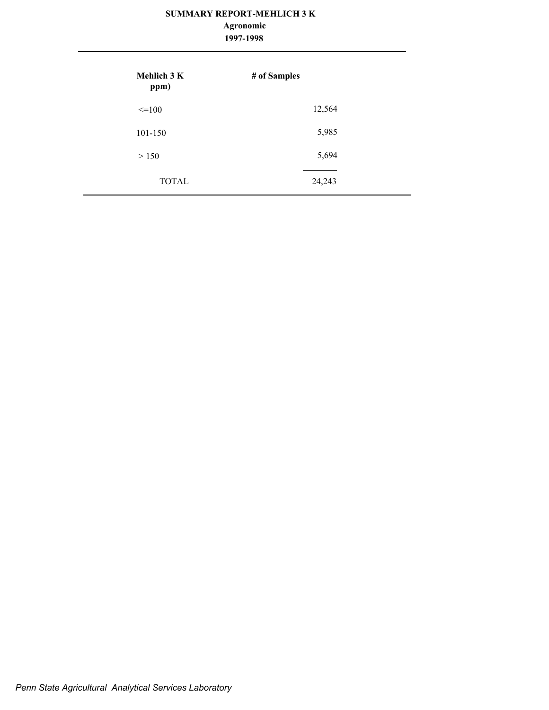### **SUMMARY REPORT-MEHLICH 3 K**

#### **1997-1998 Agronomic**

| <b>Mehlich 3 K</b><br>ppm) | # of Samples |
|----------------------------|--------------|
| $\leq$ =100                | 12,564       |
| 101-150                    | 5,985        |
| > 150                      | 5,694        |
| <b>TOTAL</b>               | 24,243       |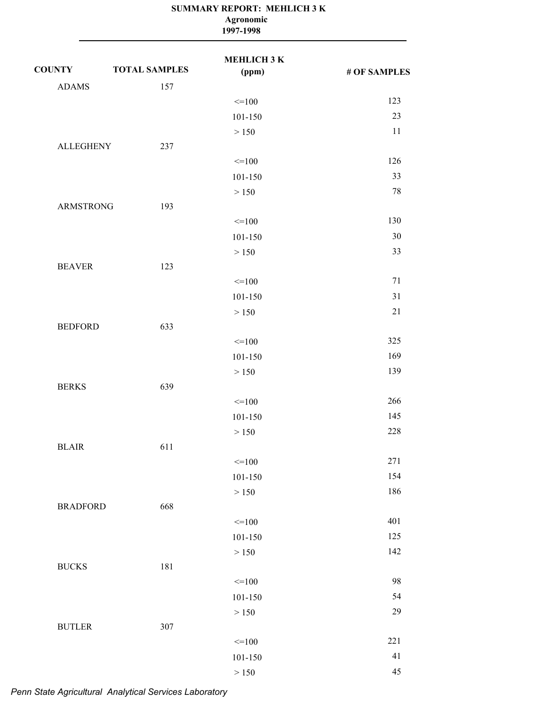|                  | Agronomic<br>1997-1998 |                             |              |
|------------------|------------------------|-----------------------------|--------------|
| <b>COUNTY</b>    | <b>TOTAL SAMPLES</b>   | <b>MEHLICH 3 K</b><br>(ppm) | # OF SAMPLES |
| <b>ADAMS</b>     | 157                    |                             |              |
|                  |                        | $=100$                      | 123          |
|                  |                        | 101-150                     | 23           |
|                  |                        | > 150                       | 11           |
| <b>ALLEGHENY</b> | 237                    |                             |              |
|                  |                        | $=100$                      | 126          |
|                  |                        | 101-150                     | 33           |
|                  |                        | > 150                       | 78           |
| <b>ARMSTRONG</b> | 193                    |                             |              |
|                  |                        | $=100$                      | 130          |
|                  |                        | 101-150                     | 30           |
|                  |                        | > 150                       | 33           |
| <b>BEAVER</b>    | 123                    |                             |              |
|                  |                        | $=100$                      | 71           |
|                  |                        | 101-150                     | 31           |
|                  |                        | > 150                       | 21           |
| <b>BEDFORD</b>   | 633                    |                             |              |
|                  |                        | $=100$                      | 325          |
|                  |                        | 101-150                     | 169          |
|                  |                        | > 150                       | 139          |
| <b>BERKS</b>     | 639                    |                             |              |
|                  |                        | $=100$                      | 266          |
|                  |                        | 101-150                     | 145          |
|                  |                        | $>150$                      | 228          |
| <b>BLAIR</b>     | 611                    |                             |              |
|                  |                        | $=100$                      | 271          |
|                  |                        | $101 - 150$                 | 154          |
|                  |                        | $>150$                      | 186          |
| <b>BRADFORD</b>  | 668                    |                             |              |
|                  |                        | $=100$                      | 401          |
|                  |                        | $101 - 150$                 | 125          |
|                  |                        | $>150$                      | 142          |
| <b>BUCKS</b>     | 181                    |                             |              |
|                  |                        | $=100$                      | 98           |
|                  |                        | $101 - 150$                 | 54           |
|                  |                        | $>150$                      | 29           |
| <b>BUTLER</b>    | 307                    |                             |              |
|                  |                        | $=100$                      | 221          |
|                  |                        | $101 - 150$                 | 41           |
|                  |                        | $>150$                      | 45           |

**SUMMARY REPORT: MEHLICH 3 K**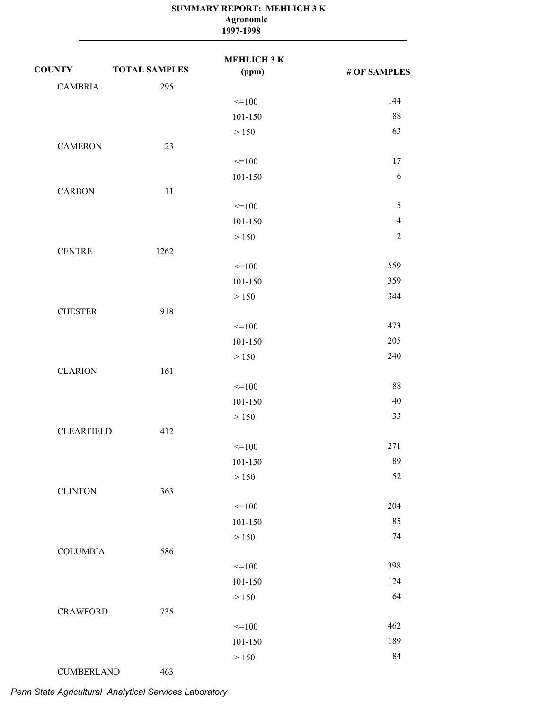|                   | Agronomic<br>1997-1998 |                    |                |
|-------------------|------------------------|--------------------|----------------|
| <b>COUNTY</b>     | <b>TOTAL SAMPLES</b>   | МЕНLIСНЗК<br>(ppm) | # OF SAMPLES   |
| <b>CAMBRIA</b>    | 295                    |                    |                |
|                   |                        | $=100$             | 144            |
|                   |                        | 101-150            | 88             |
|                   |                        | > 150              | 63             |
| <b>CAMERON</b>    | 23                     |                    |                |
|                   |                        | $=100$             | 17             |
|                   |                        | 101-150            | 6              |
| <b>CARBON</b>     | 11                     |                    |                |
|                   |                        | $=100$             | $\mathfrak s$  |
|                   |                        | 101-150            | $\overline{4}$ |
|                   |                        | > 150              | $\overline{2}$ |
| <b>CENTRE</b>     | 1262                   |                    |                |
|                   |                        | $=100$             | 559            |
|                   |                        | 101-150            | 359            |
|                   |                        | > 150              | 344            |
| <b>CHESTER</b>    | 918                    |                    |                |
|                   |                        | $=100$             | 473            |
|                   |                        | 101-150            | 205            |
|                   |                        | > 150              | 240            |
| <b>CLARION</b>    | 161                    |                    |                |
|                   |                        | $=100$             | 88             |
|                   |                        | 101-150            | 40             |
|                   |                        | > 150              | 33             |
| <b>CLEARFIELD</b> | 412                    |                    |                |
|                   |                        | $=100$             | 271            |
|                   |                        | 101-150            | 89             |
|                   |                        | > 150              | 52             |
| <b>CLINTON</b>    | 363                    |                    |                |
|                   |                        | $\leq$ = 100       | 204            |
|                   |                        | 101-150            | 85             |
|                   |                        | > 150              | 74             |
| <b>COLUMBIA</b>   | 586                    |                    |                |
|                   |                        | $=100$             | 398            |
|                   |                        | 101-150            | 124            |
|                   | 735                    | > 150              | 64             |
| <b>CRAWFORD</b>   |                        |                    | 462            |
|                   |                        | $\leq$ = 100       | 189            |
|                   |                        | 101-150<br>> 150   | 84             |
| <b>CUMBERLAND</b> | 463                    |                    |                |
|                   |                        |                    |                |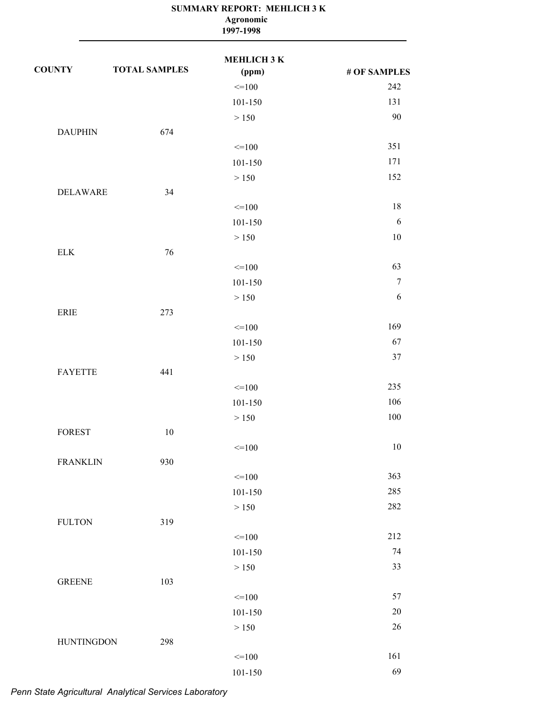|                              | Agronomic<br>1997-1998 |                    |                  |  |
|------------------------------|------------------------|--------------------|------------------|--|
| <b>COUNTY</b>                | <b>TOTAL SAMPLES</b>   | МЕНLIСНЗК<br>(ppm) | # OF SAMPLES     |  |
|                              |                        | $=100$             | 242              |  |
|                              |                        | 101-150            | 131              |  |
|                              |                        | > 150              | 90               |  |
| <b>DAUPHIN</b>               | 674                    |                    |                  |  |
|                              |                        | $=100$             | 351              |  |
|                              |                        | 101-150            | 171              |  |
|                              |                        | > 150              | 152              |  |
| <b>DELAWARE</b>              | 34                     |                    |                  |  |
|                              |                        | $=100$             | 18               |  |
|                              |                        | 101-150            | 6                |  |
|                              |                        | > 150              | 10               |  |
| <b>ELK</b>                   | 76                     |                    |                  |  |
|                              |                        | $=100$             | 63               |  |
|                              |                        | 101-150            | $\boldsymbol{7}$ |  |
|                              |                        | > 150              | 6                |  |
| $\ensuremath{\mathsf{ERIE}}$ | 273                    |                    |                  |  |
|                              |                        | $=100$             | 169              |  |
|                              |                        | 101-150            | 67               |  |
|                              |                        | > 150              | 37               |  |
| <b>FAYETTE</b>               | 441                    |                    |                  |  |
|                              |                        | $=100$             | 235              |  |
|                              |                        | 101-150            | 106              |  |
|                              |                        | > 150              | 100              |  |
| <b>FOREST</b>                | $10\,$                 |                    |                  |  |
|                              |                        | $=100$             | 10               |  |
| <b>FRANKLIN</b>              | 930                    |                    |                  |  |
|                              |                        | $=100$             | 363              |  |
|                              |                        | $101 - 150$        | 285              |  |
|                              |                        | $>150$             | 282              |  |
| <b>FULTON</b>                | 319                    |                    |                  |  |
|                              |                        | $=100$             | 212              |  |
|                              |                        | 101-150            | 74               |  |
|                              |                        | $>150\,$           | 33               |  |
| <b>GREENE</b>                | 103                    |                    |                  |  |
|                              |                        | $=100$             | 57               |  |
|                              |                        | 101-150            | $20\,$           |  |
|                              |                        | > 150              | 26               |  |
| <b>HUNTINGDON</b>            | 298                    |                    |                  |  |
|                              |                        | $=100$             | 161              |  |
|                              |                        | $101 - 150$        | 69               |  |

# **SUMMARY REPORT: MEHLICH 3 K**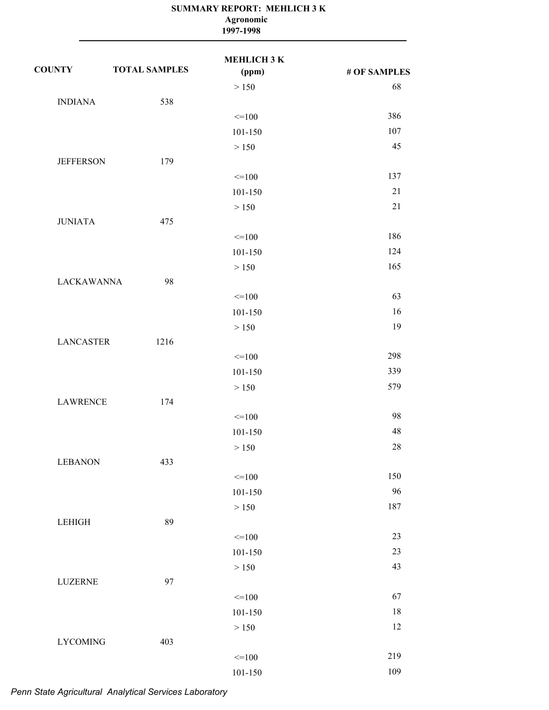|                   |                      | Agronomic<br>1997-1998      |              |
|-------------------|----------------------|-----------------------------|--------------|
| <b>COUNTY</b>     | <b>TOTAL SAMPLES</b> | <b>MEHLICH 3 K</b><br>(ppm) | # OF SAMPLES |
|                   |                      | > 150                       | 68           |
| <b>INDIANA</b>    | 538                  |                             |              |
|                   |                      | $=100$                      | 386          |
|                   |                      | 101-150                     | 107          |
|                   |                      | > 150                       | 45           |
| <b>JEFFERSON</b>  | 179                  |                             |              |
|                   |                      | $=100$                      | 137          |
|                   |                      | 101-150                     | 21           |
|                   |                      | > 150                       | 21           |
| <b>JUNIATA</b>    | 475                  |                             |              |
|                   |                      | $=100$                      | 186          |
|                   |                      | 101-150                     | 124          |
|                   |                      | > 150                       | 165          |
| <b>LACKAWANNA</b> | 98                   |                             |              |
|                   |                      | $=100$                      | 63           |
|                   |                      | 101-150                     | 16           |
|                   |                      | > 150                       | 19           |
| <b>LANCASTER</b>  | 1216                 |                             |              |
|                   |                      | $=100$                      | 298          |
|                   |                      | 101-150                     | 339          |
|                   |                      | > 150                       | 579          |
| <b>LAWRENCE</b>   | 174                  |                             |              |
|                   |                      | $\leq$ 100                  | 98           |
|                   |                      | 101-150                     | 48           |
|                   |                      | $>150$                      | 28           |
| <b>LEBANON</b>    | 433                  |                             |              |
|                   |                      | $=100$                      | 150          |
|                   |                      | 101-150                     | 96           |
|                   |                      | > 150                       | 187          |
| <b>LEHIGH</b>     | 89                   |                             |              |
|                   |                      | $=100$                      | 23           |
|                   |                      | 101-150                     | 23           |
|                   |                      | > 150                       | 43           |
| <b>LUZERNE</b>    | 97                   |                             |              |
|                   |                      | $=100$                      | 67           |
|                   |                      | $101 - 150$                 | 18           |
|                   |                      | $>150$                      | 12           |
| <b>LYCOMING</b>   | 403                  |                             |              |
|                   |                      | $=100$                      | 219          |
|                   |                      | $101 - 150$                 | 109          |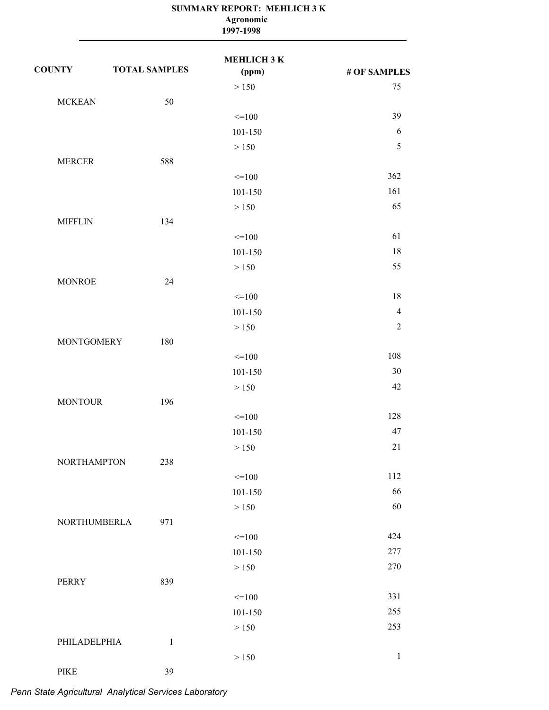|                              | Agronomic<br>1997-1998 |                             |                |  |
|------------------------------|------------------------|-----------------------------|----------------|--|
| <b>COUNTY</b>                | <b>TOTAL SAMPLES</b>   | <b>MEHLICH 3 K</b><br>(ppm) | # OF SAMPLES   |  |
|                              |                        | > 150                       | 75             |  |
| <b>MCKEAN</b>                | 50                     |                             |                |  |
|                              |                        | $=100$                      | 39             |  |
|                              |                        | 101-150                     | 6              |  |
|                              |                        | > 150                       | $\sqrt{5}$     |  |
| <b>MERCER</b>                | 588                    |                             |                |  |
|                              |                        | $=100$                      | 362            |  |
|                              |                        | 101-150                     | 161            |  |
|                              |                        | > 150                       | 65             |  |
| <b>MIFFLIN</b>               | 134                    |                             |                |  |
|                              |                        | $=100$                      | 61             |  |
|                              |                        | 101-150                     | 18             |  |
|                              |                        | > 150                       | 55             |  |
| <b>MONROE</b>                | 24                     |                             |                |  |
|                              |                        | $=100$                      | 18             |  |
|                              |                        | 101-150                     | $\overline{4}$ |  |
|                              |                        | > 150                       | $\overline{2}$ |  |
| <b>MONTGOMERY</b>            | 180                    |                             |                |  |
|                              |                        | $=100$                      | 108            |  |
|                              |                        | 101-150                     | 30             |  |
|                              |                        | > 150                       | 42             |  |
| <b>MONTOUR</b>               | 196                    |                             |                |  |
|                              |                        | $\leq$ 100                  | 128            |  |
|                              |                        | 101-150                     | 47             |  |
|                              |                        | $>150\,$                    | 21             |  |
| <b>NORTHAMPTON</b>           | 238                    |                             |                |  |
|                              |                        | $=100$                      | 112            |  |
|                              |                        | 101-150                     | 66             |  |
|                              |                        | > 150                       | 60             |  |
| NORTHUMBERLA                 | 971                    |                             |                |  |
|                              |                        | $=100$                      | 424            |  |
|                              |                        | 101-150                     | 277            |  |
|                              |                        | > 150                       | 270            |  |
| PERRY                        | 839                    |                             |                |  |
|                              |                        | $=100$                      | 331            |  |
|                              |                        | 101-150                     | 255            |  |
|                              |                        | > 150                       | 253            |  |
| PHILADELPHIA                 | $\mathbf{1}$           |                             |                |  |
|                              |                        | > 150                       | $\,1\,$        |  |
| $\ensuremath{\mathsf{PIKE}}$ | 39                     |                             |                |  |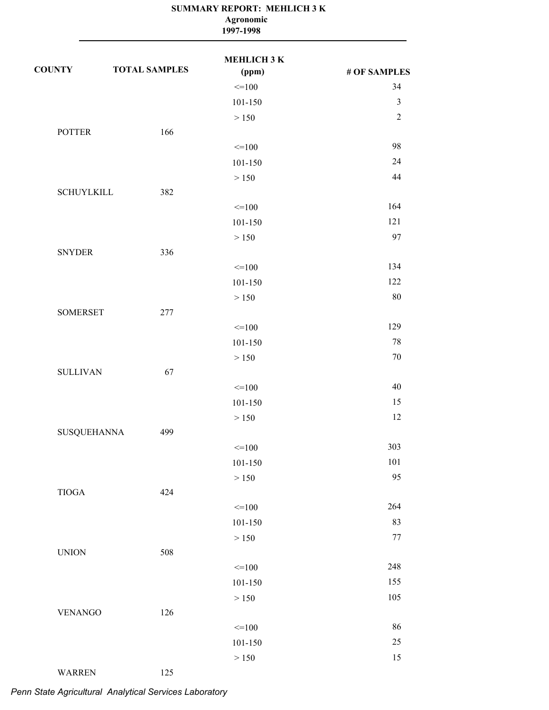|                   | SUMMARY REPORT: MEHLICH 3 K<br>Agronomic<br>1997-1998 |                             |                |
|-------------------|-------------------------------------------------------|-----------------------------|----------------|
| <b>COUNTY</b>     | <b>TOTAL SAMPLES</b>                                  | <b>MEHLICH 3 K</b><br>(ppm) | # OF SAMPLES   |
|                   |                                                       | $=100$                      | 34             |
|                   |                                                       | 101-150                     | $\mathfrak{Z}$ |
|                   |                                                       | > 150                       | $\overline{2}$ |
| <b>POTTER</b>     | 166                                                   |                             |                |
|                   |                                                       | $\leq$ = 100                | 98             |
|                   |                                                       | 101-150                     | 24             |
|                   |                                                       | > 150                       | 44             |
| <b>SCHUYLKILL</b> | 382                                                   |                             |                |
|                   |                                                       | $=100$                      | 164            |
|                   |                                                       | 101-150                     | 121            |
|                   |                                                       | > 150                       | 97             |
| <b>SNYDER</b>     | 336                                                   |                             |                |
|                   |                                                       | $\leq$ = 100                | 134            |
|                   |                                                       | 101-150                     | 122            |
|                   |                                                       | > 150                       | 80             |
| <b>SOMERSET</b>   | 277                                                   |                             |                |
|                   |                                                       | $=100$                      | 129            |
|                   |                                                       | 101-150                     | 78             |
|                   |                                                       | > 150                       | 70             |
| <b>SULLIVAN</b>   | 67                                                    |                             |                |
|                   |                                                       | $=100$                      | 40             |
|                   |                                                       | 101-150                     | 15             |
|                   |                                                       | > 150                       | 12             |
| SUSQUEHANNA       | 499                                                   |                             |                |
|                   |                                                       | $=100$                      | 303            |
|                   |                                                       | 101-150                     | 101            |
|                   |                                                       | $>150$                      | 95             |
| <b>TIOGA</b>      | 424                                                   |                             |                |
|                   |                                                       | $=100$                      | 264            |
|                   |                                                       | 101-150                     | 83             |
|                   |                                                       | $>150$                      | $77 \,$        |
| <b>UNION</b>      | 508                                                   |                             |                |
|                   |                                                       | $=100$                      | 248            |
|                   |                                                       | 101-150                     | 155            |
|                   |                                                       | $>150\,$                    | 105            |
| <b>VENANGO</b>    | 126                                                   |                             |                |
|                   |                                                       | $=100$                      | 86             |
|                   |                                                       | 101-150                     | $25\,$         |
|                   |                                                       | $>150$                      | 15             |
| <b>WARREN</b>     | 125                                                   |                             |                |
|                   |                                                       |                             |                |